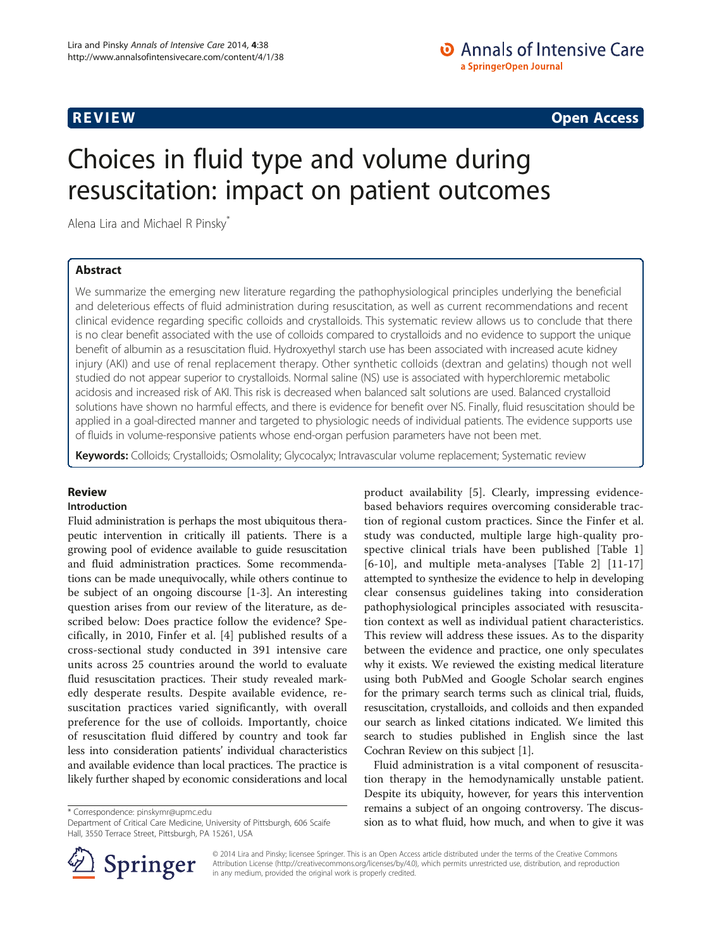**REVIEW CONSTRUCTION CONSTRUCTION CONSTRUCTS** 

# Choices in fluid type and volume during resuscitation: impact on patient outcomes

Alena Lira and Michael R Pinsky<sup>®</sup>

# Abstract

We summarize the emerging new literature regarding the pathophysiological principles underlying the beneficial and deleterious effects of fluid administration during resuscitation, as well as current recommendations and recent clinical evidence regarding specific colloids and crystalloids. This systematic review allows us to conclude that there is no clear benefit associated with the use of colloids compared to crystalloids and no evidence to support the unique benefit of albumin as a resuscitation fluid. Hydroxyethyl starch use has been associated with increased acute kidney injury (AKI) and use of renal replacement therapy. Other synthetic colloids (dextran and gelatins) though not well studied do not appear superior to crystalloids. Normal saline (NS) use is associated with hyperchloremic metabolic acidosis and increased risk of AKI. This risk is decreased when balanced salt solutions are used. Balanced crystalloid solutions have shown no harmful effects, and there is evidence for benefit over NS. Finally, fluid resuscitation should be applied in a goal-directed manner and targeted to physiologic needs of individual patients. The evidence supports use of fluids in volume-responsive patients whose end-organ perfusion parameters have not been met.

Keywords: Colloids; Crystalloids; Osmolality; Glycocalyx; Intravascular volume replacement; Systematic review

# Review

#### Introduction

Fluid administration is perhaps the most ubiquitous therapeutic intervention in critically ill patients. There is a growing pool of evidence available to guide resuscitation and fluid administration practices. Some recommendations can be made unequivocally, while others continue to be subject of an ongoing discourse [\[1](#page-10-0)-[3\]](#page-10-0). An interesting question arises from our review of the literature, as described below: Does practice follow the evidence? Specifically, in 2010, Finfer et al. [[4\]](#page-10-0) published results of a cross-sectional study conducted in 391 intensive care units across 25 countries around the world to evaluate fluid resuscitation practices. Their study revealed markedly desperate results. Despite available evidence, resuscitation practices varied significantly, with overall preference for the use of colloids. Importantly, choice of resuscitation fluid differed by country and took far less into consideration patients' individual characteristics and available evidence than local practices. The practice is likely further shaped by economic considerations and local

\* Correspondence: [pinskymr@upmc.edu](mailto:pinskymr@upmc.edu)

Department of Critical Care Medicine, University of Pittsburgh, 606 Scaife Hall, 3550 Terrace Street, Pittsburgh, PA 15261, USA

product availability [[5\]](#page-10-0). Clearly, impressing evidencebased behaviors requires overcoming considerable traction of regional custom practices. Since the Finfer et al. study was conducted, multiple large high-quality prospective clinical trials have been published [Table [1](#page-1-0)] [[6-10\]](#page-10-0), and multiple meta-analyses [Table [2\]](#page-2-0) [[11-](#page-10-0)[17](#page-11-0)] attempted to synthesize the evidence to help in developing clear consensus guidelines taking into consideration pathophysiological principles associated with resuscitation context as well as individual patient characteristics. This review will address these issues. As to the disparity between the evidence and practice, one only speculates why it exists. We reviewed the existing medical literature using both PubMed and Google Scholar search engines for the primary search terms such as clinical trial, fluids, resuscitation, crystalloids, and colloids and then expanded our search as linked citations indicated. We limited this search to studies published in English since the last Cochran Review on this subject [[1](#page-10-0)].

Fluid administration is a vital component of resuscitation therapy in the hemodynamically unstable patient. Despite its ubiquity, however, for years this intervention remains a subject of an ongoing controversy. The discussion as to what fluid, how much, and when to give it was



© 2014 Lira and Pinsky; licensee Springer. This is an Open Access article distributed under the terms of the Creative Commons Attribution License [\(http://creativecommons.org/licenses/by/4.0\)](http://creativecommons.org/licenses/by/4.0), which permits unrestricted use, distribution, and reproduction in any medium, provided the original work is properly credited.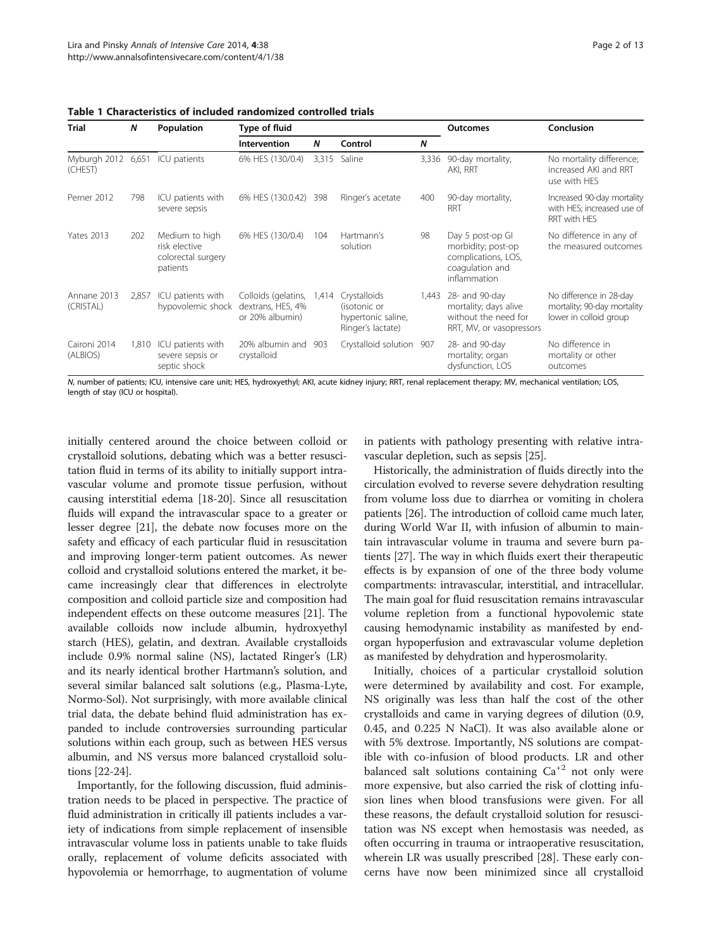| <b>Trial</b>             | N     | <b>Population</b>                                                 | Type of fluid                                               |       |                                                                         |       | Outcomes                                                                                          | Conclusion                                                                       |  |
|--------------------------|-------|-------------------------------------------------------------------|-------------------------------------------------------------|-------|-------------------------------------------------------------------------|-------|---------------------------------------------------------------------------------------------------|----------------------------------------------------------------------------------|--|
|                          |       |                                                                   | Intervention                                                | N     | Control                                                                 | N     |                                                                                                   |                                                                                  |  |
| Myburgh 2012<br>(CHEST)  | 6,651 | ICU patients                                                      | 6% HES (130/0.4)                                            |       | 3,315 Saline                                                            | 3,336 | 90-day mortality,<br>AKI, RRT                                                                     | No mortality difference;<br>increased AKI and RRT<br>use with HES                |  |
| Perner 2012              | 798   | ICU patients with<br>severe sepsis                                | 6% HES (130.0.42)                                           | 398   | Ringer's acetate                                                        | 400   | 90-day mortality,<br><b>RRT</b>                                                                   | Increased 90-day mortality<br>with HES; increased use of<br>RRT with HES         |  |
| <b>Yates 2013</b>        | 202   | Medium to high<br>risk elective<br>colorectal surgery<br>patients | 6% HES (130/0.4)                                            | 104   | Hartmann's<br>solution                                                  | 98    | Day 5 post-op GI<br>morbidity; post-op<br>complications, LOS,<br>coagulation and<br>inflammation  | No difference in any of<br>the measured outcomes                                 |  |
| Annane 2013<br>(CRISTAL) | 2,857 | ICU patients with<br>hypovolemic shock                            | Colloids (gelatins,<br>dextrans, HES, 4%<br>or 20% albumin) | 1,414 | Crystalloids<br>(isotonic or<br>hypertonic saline,<br>Ringer's lactate) | 1,443 | $28$ - and $90$ -day<br>mortality; days alive<br>without the need for<br>RRT, MV, or vasopressors | No difference in 28-day<br>mortality; 90-day mortality<br>lower in colloid group |  |
| Caironi 2014<br>(ALBIOS) | 1,810 | ICU patients with<br>severe sepsis or<br>septic shock             | 20% albumin and 903<br>crystalloid                          |       | Crystalloid solution 907                                                |       | $28-$ and $90-day$<br>mortality; organ<br>dysfunction, LOS                                        | No difference in<br>mortality or other<br>outcomes                               |  |

<span id="page-1-0"></span>Table 1 Characteristics of included randomized controlled trials

N, number of patients; ICU, intensive care unit; HES, hydroxyethyl; AKI, acute kidney injury; RRT, renal replacement therapy; MV, mechanical ventilation; LOS, length of stay (ICU or hospital).

initially centered around the choice between colloid or crystalloid solutions, debating which was a better resuscitation fluid in terms of its ability to initially support intravascular volume and promote tissue perfusion, without causing interstitial edema [[18](#page-11-0)-[20\]](#page-11-0). Since all resuscitation fluids will expand the intravascular space to a greater or lesser degree [[21](#page-11-0)], the debate now focuses more on the safety and efficacy of each particular fluid in resuscitation and improving longer-term patient outcomes. As newer colloid and crystalloid solutions entered the market, it became increasingly clear that differences in electrolyte composition and colloid particle size and composition had independent effects on these outcome measures [[21](#page-11-0)]. The available colloids now include albumin, hydroxyethyl starch (HES), gelatin, and dextran. Available crystalloids include 0.9% normal saline (NS), lactated Ringer's (LR) and its nearly identical brother Hartmann's solution, and several similar balanced salt solutions (e.g., Plasma-Lyte, Normo-Sol). Not surprisingly, with more available clinical trial data, the debate behind fluid administration has expanded to include controversies surrounding particular solutions within each group, such as between HES versus albumin, and NS versus more balanced crystalloid solutions [\[22-24\]](#page-11-0).

Importantly, for the following discussion, fluid administration needs to be placed in perspective. The practice of fluid administration in critically ill patients includes a variety of indications from simple replacement of insensible intravascular volume loss in patients unable to take fluids orally, replacement of volume deficits associated with hypovolemia or hemorrhage, to augmentation of volume in patients with pathology presenting with relative intravascular depletion, such as sepsis [\[25\]](#page-11-0).

Historically, the administration of fluids directly into the circulation evolved to reverse severe dehydration resulting from volume loss due to diarrhea or vomiting in cholera patients [[26\]](#page-11-0). The introduction of colloid came much later, during World War II, with infusion of albumin to maintain intravascular volume in trauma and severe burn patients [[27](#page-11-0)]. The way in which fluids exert their therapeutic effects is by expansion of one of the three body volume compartments: intravascular, interstitial, and intracellular. The main goal for fluid resuscitation remains intravascular volume repletion from a functional hypovolemic state causing hemodynamic instability as manifested by endorgan hypoperfusion and extravascular volume depletion as manifested by dehydration and hyperosmolarity.

Initially, choices of a particular crystalloid solution were determined by availability and cost. For example, NS originally was less than half the cost of the other crystalloids and came in varying degrees of dilution (0.9, 0.45, and 0.225 N NaCl). It was also available alone or with 5% dextrose. Importantly, NS solutions are compatible with co-infusion of blood products. LR and other balanced salt solutions containing  $Ca^{+2}$  not only were more expensive, but also carried the risk of clotting infusion lines when blood transfusions were given. For all these reasons, the default crystalloid solution for resuscitation was NS except when hemostasis was needed, as often occurring in trauma or intraoperative resuscitation, wherein LR was usually prescribed [\[28](#page-11-0)]. These early concerns have now been minimized since all crystalloid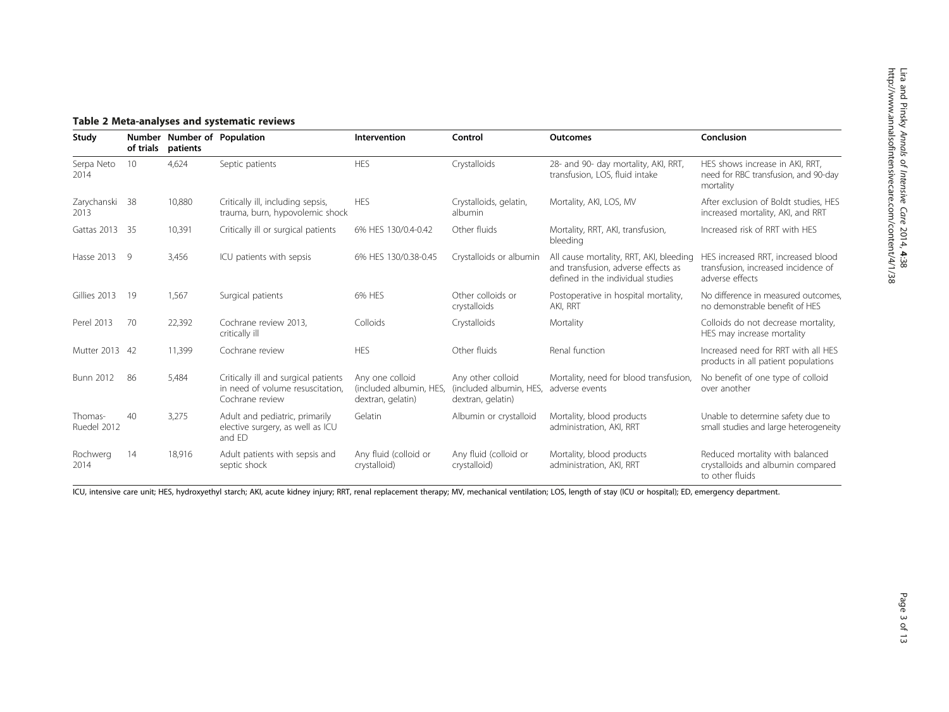#### <span id="page-2-0"></span>Table 2 Meta-analyses and systematic reviews

| Study                  | <b>Number</b><br>of trials | patients | Number of Population                                                                        | Intervention                                                   | Control                                                           | <b>Outcomes</b>                                                                                                     | Conclusion                                                                                   |
|------------------------|----------------------------|----------|---------------------------------------------------------------------------------------------|----------------------------------------------------------------|-------------------------------------------------------------------|---------------------------------------------------------------------------------------------------------------------|----------------------------------------------------------------------------------------------|
| Serpa Neto<br>2014     | 10                         | 4,624    | Septic patients                                                                             | <b>HES</b>                                                     | Crystalloids                                                      | 28- and 90- day mortality, AKI, RRT,<br>transfusion, LOS, fluid intake                                              | HES shows increase in AKI, RRT,<br>need for RBC transfusion, and 90-day<br>mortality         |
| Zarychanski<br>2013    | -38                        | 10,880   | Critically ill, including sepsis,<br>trauma, burn, hypovolemic shock                        | <b>HES</b>                                                     | Crystalloids, gelatin,<br>albumin                                 | Mortality, AKI, LOS, MV                                                                                             | After exclusion of Boldt studies, HES<br>increased mortality, AKI, and RRT                   |
| Gattas 2013 35         |                            | 10,391   | Critically ill or surgical patients                                                         | 6% HES 130/0.4-0.42                                            | Other fluids                                                      | Mortality, RRT, AKI, transfusion,<br>bleeding                                                                       | Increased risk of RRT with HFS                                                               |
| Hasse 2013             | -9                         | 3,456    | ICU patients with sepsis                                                                    | 6% HES 130/0.38-0.45                                           | Crystalloids or albumin                                           | All cause mortality, RRT, AKI, bleeding<br>and transfusion, adverse effects as<br>defined in the individual studies | HES increased RRT, increased blood<br>transfusion, increased incidence of<br>adverse effects |
| Gillies 2013           | -19                        | 1,567    | Surgical patients                                                                           | 6% HES                                                         | Other colloids or<br>crystalloids                                 | Postoperative in hospital mortality,<br>AKI, RRT                                                                    | No difference in measured outcomes.<br>no demonstrable benefit of HES                        |
| Perel 2013             | 70                         | 22,392   | Cochrane review 2013.<br>critically ill                                                     | Colloids                                                       | Crystalloids                                                      | Mortality                                                                                                           | Colloids do not decrease mortality,<br>HES may increase mortality                            |
| Mutter 2013 42         |                            | 11,399   | Cochrane review                                                                             | <b>HES</b>                                                     | Other fluids                                                      | Renal function                                                                                                      | Increased need for RRT with all HES<br>products in all patient populations                   |
| <b>Bunn 2012</b>       | 86                         | 5,484    | Critically ill and surgical patients<br>in need of volume resuscitation,<br>Cochrane review | Any one colloid<br>(included albumin, HES<br>dextran, gelatin) | Any other colloid<br>(included albumin, HES.<br>dextran, gelatin) | Mortality, need for blood transfusion,<br>adverse events                                                            | No benefit of one type of colloid<br>over another                                            |
| Thomas-<br>Ruedel 2012 | 40                         | 3,275    | Adult and pediatric, primarily<br>elective surgery, as well as ICU<br>and ED                | Gelatin                                                        | Albumin or crystalloid                                            | Mortality, blood products<br>administration, AKI, RRT                                                               | Unable to determine safety due to<br>small studies and large heterogeneity                   |
| Rochwerg<br>2014       | 14                         | 18,916   | Adult patients with sepsis and<br>septic shock                                              | Any fluid (colloid or<br>crystalloid)                          | Any fluid (colloid or<br>crystalloid)                             | Mortality, blood products<br>administration, AKI, RRT                                                               | Reduced mortality with balanced<br>crystalloids and albumin compared<br>to other fluids      |

ICU, intensive care unit; HES, hydroxyethyl starch; AKI, acute kidney injury; RRT, renal replacement therapy; MV, mechanical ventilation; LOS, length of stay (ICU or hospital); ED, emergency department.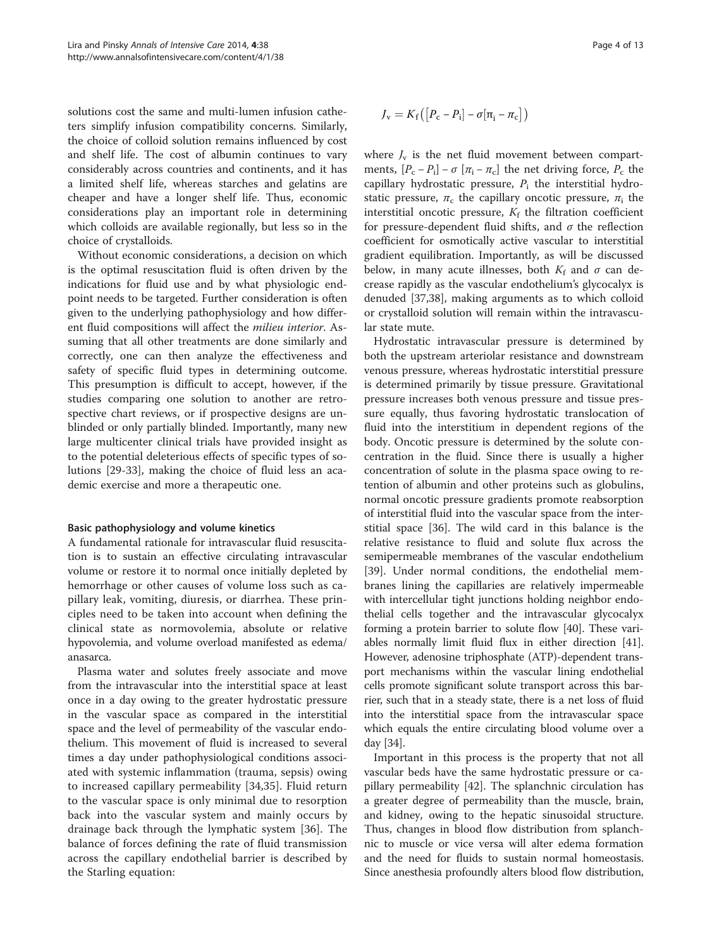solutions cost the same and multi-lumen infusion catheters simplify infusion compatibility concerns. Similarly, the choice of colloid solution remains influenced by cost and shelf life. The cost of albumin continues to vary considerably across countries and continents, and it has a limited shelf life, whereas starches and gelatins are cheaper and have a longer shelf life. Thus, economic considerations play an important role in determining which colloids are available regionally, but less so in the choice of crystalloids.

Without economic considerations, a decision on which is the optimal resuscitation fluid is often driven by the indications for fluid use and by what physiologic endpoint needs to be targeted. Further consideration is often given to the underlying pathophysiology and how different fluid compositions will affect the milieu interior. Assuming that all other treatments are done similarly and correctly, one can then analyze the effectiveness and safety of specific fluid types in determining outcome. This presumption is difficult to accept, however, if the studies comparing one solution to another are retrospective chart reviews, or if prospective designs are unblinded or only partially blinded. Importantly, many new large multicenter clinical trials have provided insight as to the potential deleterious effects of specific types of solutions [[29-33](#page-11-0)], making the choice of fluid less an academic exercise and more a therapeutic one.

#### Basic pathophysiology and volume kinetics

A fundamental rationale for intravascular fluid resuscitation is to sustain an effective circulating intravascular volume or restore it to normal once initially depleted by hemorrhage or other causes of volume loss such as capillary leak, vomiting, diuresis, or diarrhea. These principles need to be taken into account when defining the clinical state as normovolemia, absolute or relative hypovolemia, and volume overload manifested as edema/ anasarca.

Plasma water and solutes freely associate and move from the intravascular into the interstitial space at least once in a day owing to the greater hydrostatic pressure in the vascular space as compared in the interstitial space and the level of permeability of the vascular endothelium. This movement of fluid is increased to several times a day under pathophysiological conditions associated with systemic inflammation (trauma, sepsis) owing to increased capillary permeability [\[34](#page-11-0),[35\]](#page-11-0). Fluid return to the vascular space is only minimal due to resorption back into the vascular system and mainly occurs by drainage back through the lymphatic system [[36\]](#page-11-0). The balance of forces defining the rate of fluid transmission across the capillary endothelial barrier is described by the Starling equation:

$$
J_{\rm v}=K_{\rm f}\left(\left[P_{\rm c}-P_{\rm i}\right]-\sigma[\pi_{\rm i}-\pi_{\rm c}\right]\right)
$$

where  $J_v$  is the net fluid movement between compartments,  $[P_c - P_i] - \sigma [\pi_i - \pi_c]$  the net driving force,  $P_c$  the capillary hydrostatic pressure,  $P_i$  the interstitial hydrostatic pressure,  $\pi_c$  the capillary oncotic pressure,  $\pi_i$  the interstitial oncotic pressure,  $K_f$  the filtration coefficient for pressure-dependent fluid shifts, and  $\sigma$  the reflection coefficient for osmotically active vascular to interstitial gradient equilibration. Importantly, as will be discussed below, in many acute illnesses, both  $K_f$  and  $\sigma$  can decrease rapidly as the vascular endothelium's glycocalyx is denuded [[37,38\]](#page-11-0), making arguments as to which colloid or crystalloid solution will remain within the intravascular state mute.

Hydrostatic intravascular pressure is determined by both the upstream arteriolar resistance and downstream venous pressure, whereas hydrostatic interstitial pressure is determined primarily by tissue pressure. Gravitational pressure increases both venous pressure and tissue pressure equally, thus favoring hydrostatic translocation of fluid into the interstitium in dependent regions of the body. Oncotic pressure is determined by the solute concentration in the fluid. Since there is usually a higher concentration of solute in the plasma space owing to retention of albumin and other proteins such as globulins, normal oncotic pressure gradients promote reabsorption of interstitial fluid into the vascular space from the interstitial space [[36\]](#page-11-0). The wild card in this balance is the relative resistance to fluid and solute flux across the semipermeable membranes of the vascular endothelium [[39\]](#page-11-0). Under normal conditions, the endothelial membranes lining the capillaries are relatively impermeable with intercellular tight junctions holding neighbor endothelial cells together and the intravascular glycocalyx forming a protein barrier to solute flow [\[40\]](#page-11-0). These variables normally limit fluid flux in either direction [[41](#page-11-0)]. However, adenosine triphosphate (ATP)-dependent transport mechanisms within the vascular lining endothelial cells promote significant solute transport across this barrier, such that in a steady state, there is a net loss of fluid into the interstitial space from the intravascular space which equals the entire circulating blood volume over a day [\[34\]](#page-11-0).

Important in this process is the property that not all vascular beds have the same hydrostatic pressure or capillary permeability [\[42](#page-11-0)]. The splanchnic circulation has a greater degree of permeability than the muscle, brain, and kidney, owing to the hepatic sinusoidal structure. Thus, changes in blood flow distribution from splanchnic to muscle or vice versa will alter edema formation and the need for fluids to sustain normal homeostasis. Since anesthesia profoundly alters blood flow distribution,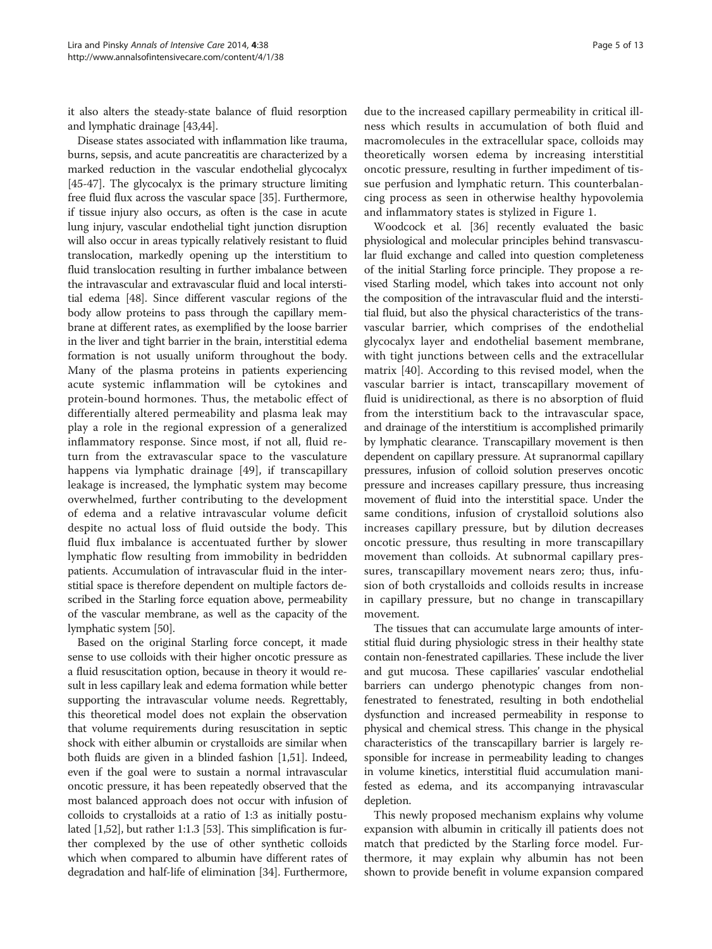it also alters the steady-state balance of fluid resorption and lymphatic drainage [\[43,44](#page-11-0)].

Disease states associated with inflammation like trauma, burns, sepsis, and acute pancreatitis are characterized by a marked reduction in the vascular endothelial glycocalyx [[45](#page-11-0)-[47\]](#page-11-0). The glycocalyx is the primary structure limiting free fluid flux across the vascular space [[35](#page-11-0)]. Furthermore, if tissue injury also occurs, as often is the case in acute lung injury, vascular endothelial tight junction disruption will also occur in areas typically relatively resistant to fluid translocation, markedly opening up the interstitium to fluid translocation resulting in further imbalance between the intravascular and extravascular fluid and local interstitial edema [\[48\]](#page-11-0). Since different vascular regions of the body allow proteins to pass through the capillary membrane at different rates, as exemplified by the loose barrier in the liver and tight barrier in the brain, interstitial edema formation is not usually uniform throughout the body. Many of the plasma proteins in patients experiencing acute systemic inflammation will be cytokines and protein-bound hormones. Thus, the metabolic effect of differentially altered permeability and plasma leak may play a role in the regional expression of a generalized inflammatory response. Since most, if not all, fluid return from the extravascular space to the vasculature happens via lymphatic drainage [\[49](#page-11-0)], if transcapillary leakage is increased, the lymphatic system may become overwhelmed, further contributing to the development of edema and a relative intravascular volume deficit despite no actual loss of fluid outside the body. This fluid flux imbalance is accentuated further by slower lymphatic flow resulting from immobility in bedridden patients. Accumulation of intravascular fluid in the interstitial space is therefore dependent on multiple factors described in the Starling force equation above, permeability of the vascular membrane, as well as the capacity of the lymphatic system [[50](#page-11-0)].

Based on the original Starling force concept, it made sense to use colloids with their higher oncotic pressure as a fluid resuscitation option, because in theory it would result in less capillary leak and edema formation while better supporting the intravascular volume needs. Regrettably, this theoretical model does not explain the observation that volume requirements during resuscitation in septic shock with either albumin or crystalloids are similar when both fluids are given in a blinded fashion [\[1](#page-10-0)[,51\]](#page-11-0). Indeed, even if the goal were to sustain a normal intravascular oncotic pressure, it has been repeatedly observed that the most balanced approach does not occur with infusion of colloids to crystalloids at a ratio of 1:3 as initially postulated [[1](#page-10-0)[,52](#page-11-0)], but rather 1:1.3 [[53](#page-11-0)]. This simplification is further complexed by the use of other synthetic colloids which when compared to albumin have different rates of degradation and half-life of elimination [[34](#page-11-0)]. Furthermore,

due to the increased capillary permeability in critical illness which results in accumulation of both fluid and macromolecules in the extracellular space, colloids may theoretically worsen edema by increasing interstitial oncotic pressure, resulting in further impediment of tissue perfusion and lymphatic return. This counterbalancing process as seen in otherwise healthy hypovolemia and inflammatory states is stylized in Figure [1.](#page-5-0)

Woodcock et al. [\[36\]](#page-11-0) recently evaluated the basic physiological and molecular principles behind transvascular fluid exchange and called into question completeness of the initial Starling force principle. They propose a revised Starling model, which takes into account not only the composition of the intravascular fluid and the interstitial fluid, but also the physical characteristics of the transvascular barrier, which comprises of the endothelial glycocalyx layer and endothelial basement membrane, with tight junctions between cells and the extracellular matrix [[40\]](#page-11-0). According to this revised model, when the vascular barrier is intact, transcapillary movement of fluid is unidirectional, as there is no absorption of fluid from the interstitium back to the intravascular space, and drainage of the interstitium is accomplished primarily by lymphatic clearance. Transcapillary movement is then dependent on capillary pressure. At supranormal capillary pressures, infusion of colloid solution preserves oncotic pressure and increases capillary pressure, thus increasing movement of fluid into the interstitial space. Under the same conditions, infusion of crystalloid solutions also increases capillary pressure, but by dilution decreases oncotic pressure, thus resulting in more transcapillary movement than colloids. At subnormal capillary pressures, transcapillary movement nears zero; thus, infusion of both crystalloids and colloids results in increase in capillary pressure, but no change in transcapillary movement.

The tissues that can accumulate large amounts of interstitial fluid during physiologic stress in their healthy state contain non-fenestrated capillaries. These include the liver and gut mucosa. These capillaries' vascular endothelial barriers can undergo phenotypic changes from nonfenestrated to fenestrated, resulting in both endothelial dysfunction and increased permeability in response to physical and chemical stress. This change in the physical characteristics of the transcapillary barrier is largely responsible for increase in permeability leading to changes in volume kinetics, interstitial fluid accumulation manifested as edema, and its accompanying intravascular depletion.

This newly proposed mechanism explains why volume expansion with albumin in critically ill patients does not match that predicted by the Starling force model. Furthermore, it may explain why albumin has not been shown to provide benefit in volume expansion compared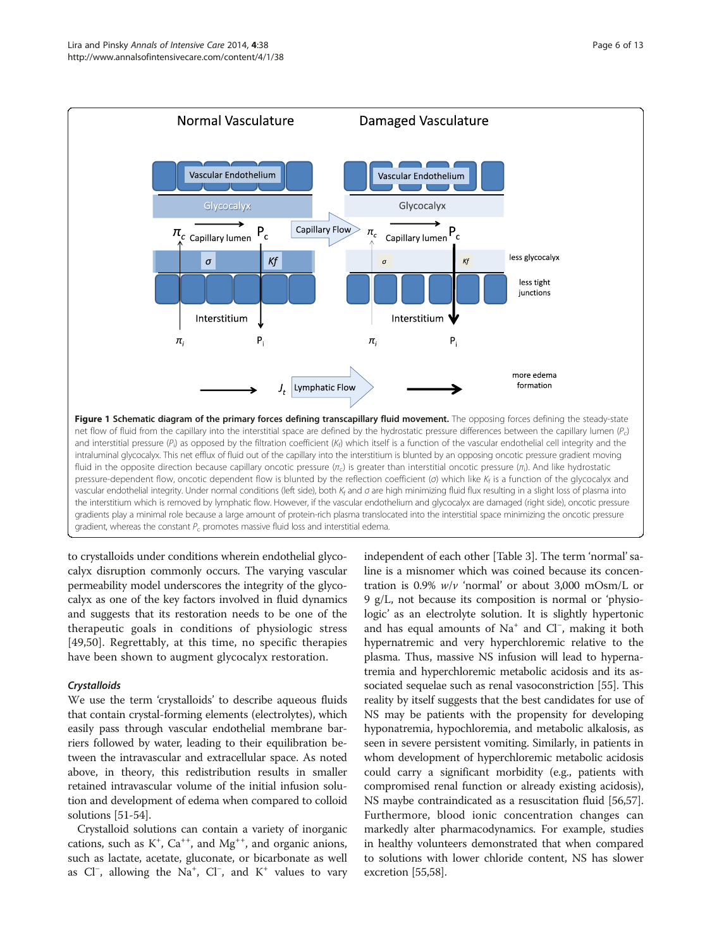<span id="page-5-0"></span>

to crystalloids under conditions wherein endothelial glycocalyx disruption commonly occurs. The varying vascular permeability model underscores the integrity of the glycocalyx as one of the key factors involved in fluid dynamics and suggests that its restoration needs to be one of the therapeutic goals in conditions of physiologic stress [[49,50](#page-11-0)]. Regrettably, at this time, no specific therapies have been shown to augment glycocalyx restoration.

#### **Crystalloids**

We use the term 'crystalloids' to describe aqueous fluids that contain crystal-forming elements (electrolytes), which easily pass through vascular endothelial membrane barriers followed by water, leading to their equilibration between the intravascular and extracellular space. As noted above, in theory, this redistribution results in smaller retained intravascular volume of the initial infusion solution and development of edema when compared to colloid solutions [\[51](#page-11-0)-[54](#page-11-0)].

Crystalloid solutions can contain a variety of inorganic cations, such as  $K^+$ ,  $Ca^{++}$ , and  $Mg^{++}$ , and organic anions, such as lactate, acetate, gluconate, or bicarbonate as well as Cl<sup>−</sup>, allowing the Na<sup>+</sup>, Cl<sup>−</sup>, and K<sup>+</sup> values to vary

independent of each other [Table [3](#page-6-0)]. The term 'normal' saline is a misnomer which was coined because its concentration is 0.9%  $w/v$  'normal' or about 3,000 mOsm/L or 9 g/L, not because its composition is normal or 'physiologic' as an electrolyte solution. It is slightly hypertonic and has equal amounts of Na+ and Cl<sup>−</sup> , making it both hypernatremic and very hyperchloremic relative to the plasma. Thus, massive NS infusion will lead to hypernatremia and hyperchloremic metabolic acidosis and its associated sequelae such as renal vasoconstriction [\[55\]](#page-11-0). This reality by itself suggests that the best candidates for use of NS may be patients with the propensity for developing hyponatremia, hypochloremia, and metabolic alkalosis, as seen in severe persistent vomiting. Similarly, in patients in whom development of hyperchloremic metabolic acidosis could carry a significant morbidity (e.g., patients with compromised renal function or already existing acidosis), NS maybe contraindicated as a resuscitation fluid [\[56,57](#page-11-0)]. Furthermore, blood ionic concentration changes can markedly alter pharmacodynamics. For example, studies in healthy volunteers demonstrated that when compared to solutions with lower chloride content, NS has slower excretion [\[55,58\]](#page-11-0).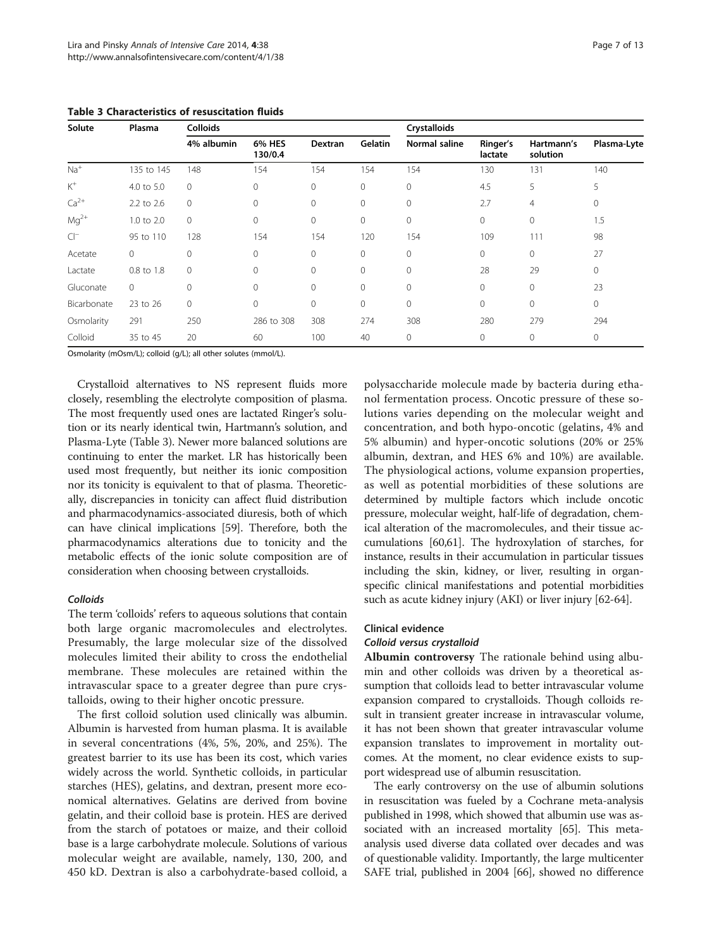| Solute      | Plasma       | <b>Colloids</b> |                          |                |              | Crystalloids  |                     |                        |              |  |
|-------------|--------------|-----------------|--------------------------|----------------|--------------|---------------|---------------------|------------------------|--------------|--|
|             |              | 4% albumin      | <b>6% HES</b><br>130/0.4 | <b>Dextran</b> | Gelatin      | Normal saline | Ringer's<br>lactate | Hartmann's<br>solution | Plasma-Lyte  |  |
| $Na+$       | 135 to 145   | 148             | 154                      | 154            | 154          | 154           | 130                 | 131                    | 140          |  |
| $\rm K^+$   | 4.0 to 5.0   | 0               | $\mathbf 0$              | 0              | $\mathbf 0$  | $\mathbf 0$   | 4.5                 | 5                      | 5            |  |
| $Ca2+$      | 2.2 to 2.6   | $\mathbf{0}$    | $\mathbf 0$              | 0              | $\mathbf 0$  | $\mathbf 0$   | 2.7                 | 4                      | 0            |  |
| $Mg^{2+}$   | 1.0 to 2.0   | 0               | $\mathbf 0$              | 0              | $\mathbf 0$  | $\mathbf 0$   | $\mathbf{0}$        | $\mathbf 0$            | 1.5          |  |
| $CI^{-}$    | 95 to 110    | 128             | 154                      | 154            | 120          | 154           | 109                 | 111                    | 98           |  |
| Acetate     | 0            | 0               | $\mathbf 0$              | 0              | $\mathbf 0$  | $\mathbf 0$   | $\mathbf{0}$        | $\mathbf{0}$           | 27           |  |
| Lactate     | 0.8 to 1.8   | 0               | $\mathbf{0}$             | 0              | $\mathbf{0}$ | $\mathbf{0}$  | 28                  | 29                     | $\mathbf{0}$ |  |
| Gluconate   | $\mathbf{0}$ | 0               | $\mathbf{0}$             | 0              | $\mathbf{0}$ | $\mathbf{0}$  | $\mathbf{0}$        | $\mathbf{0}$           | 23           |  |
| Bicarbonate | 23 to 26     | 0               | $\mathbf{0}$             | 0              | $\mathbf 0$  | $\mathbf 0$   | $\mathbf{0}$        | $\mathbf{0}$           | 0            |  |
| Osmolarity  | 291          | 250             | 286 to 308               | 308            | 274          | 308           | 280                 | 279                    | 294          |  |
| Colloid     | 35 to 45     | 20              | 60                       | 100            | 40           | $\mathbf{0}$  | $\mathbf{0}$        | $\mathbf{0}$           | 0            |  |

<span id="page-6-0"></span>Table 3 Characteristics of resuscitation fluids

Osmolarity (mOsm/L); colloid (g/L); all other solutes (mmol/L).

Crystalloid alternatives to NS represent fluids more closely, resembling the electrolyte composition of plasma. The most frequently used ones are lactated Ringer's solution or its nearly identical twin, Hartmann's solution, and Plasma-Lyte (Table 3). Newer more balanced solutions are continuing to enter the market. LR has historically been used most frequently, but neither its ionic composition nor its tonicity is equivalent to that of plasma. Theoretically, discrepancies in tonicity can affect fluid distribution and pharmacodynamics-associated diuresis, both of which can have clinical implications [[59](#page-12-0)]. Therefore, both the pharmacodynamics alterations due to tonicity and the metabolic effects of the ionic solute composition are of consideration when choosing between crystalloids.

#### Colloids

The term 'colloids' refers to aqueous solutions that contain both large organic macromolecules and electrolytes. Presumably, the large molecular size of the dissolved molecules limited their ability to cross the endothelial membrane. These molecules are retained within the intravascular space to a greater degree than pure crystalloids, owing to their higher oncotic pressure.

The first colloid solution used clinically was albumin. Albumin is harvested from human plasma. It is available in several concentrations (4%, 5%, 20%, and 25%). The greatest barrier to its use has been its cost, which varies widely across the world. Synthetic colloids, in particular starches (HES), gelatins, and dextran, present more economical alternatives. Gelatins are derived from bovine gelatin, and their colloid base is protein. HES are derived from the starch of potatoes or maize, and their colloid base is a large carbohydrate molecule. Solutions of various molecular weight are available, namely, 130, 200, and 450 kD. Dextran is also a carbohydrate-based colloid, a

polysaccharide molecule made by bacteria during ethanol fermentation process. Oncotic pressure of these solutions varies depending on the molecular weight and concentration, and both hypo-oncotic (gelatins, 4% and 5% albumin) and hyper-oncotic solutions (20% or 25% albumin, dextran, and HES 6% and 10%) are available. The physiological actions, volume expansion properties, as well as potential morbidities of these solutions are determined by multiple factors which include oncotic pressure, molecular weight, half-life of degradation, chemical alteration of the macromolecules, and their tissue accumulations [\[60,61](#page-12-0)]. The hydroxylation of starches, for instance, results in their accumulation in particular tissues including the skin, kidney, or liver, resulting in organspecific clinical manifestations and potential morbidities such as acute kidney injury (AKI) or liver injury [[62-64\]](#page-12-0).

# Clinical evidence

# Colloid versus crystalloid

Albumin controversy The rationale behind using albumin and other colloids was driven by a theoretical assumption that colloids lead to better intravascular volume expansion compared to crystalloids. Though colloids result in transient greater increase in intravascular volume, it has not been shown that greater intravascular volume expansion translates to improvement in mortality outcomes. At the moment, no clear evidence exists to support widespread use of albumin resuscitation.

The early controversy on the use of albumin solutions in resuscitation was fueled by a Cochrane meta-analysis published in 1998, which showed that albumin use was associated with an increased mortality [[65](#page-12-0)]. This metaanalysis used diverse data collated over decades and was of questionable validity. Importantly, the large multicenter SAFE trial, published in 2004 [[66](#page-12-0)], showed no difference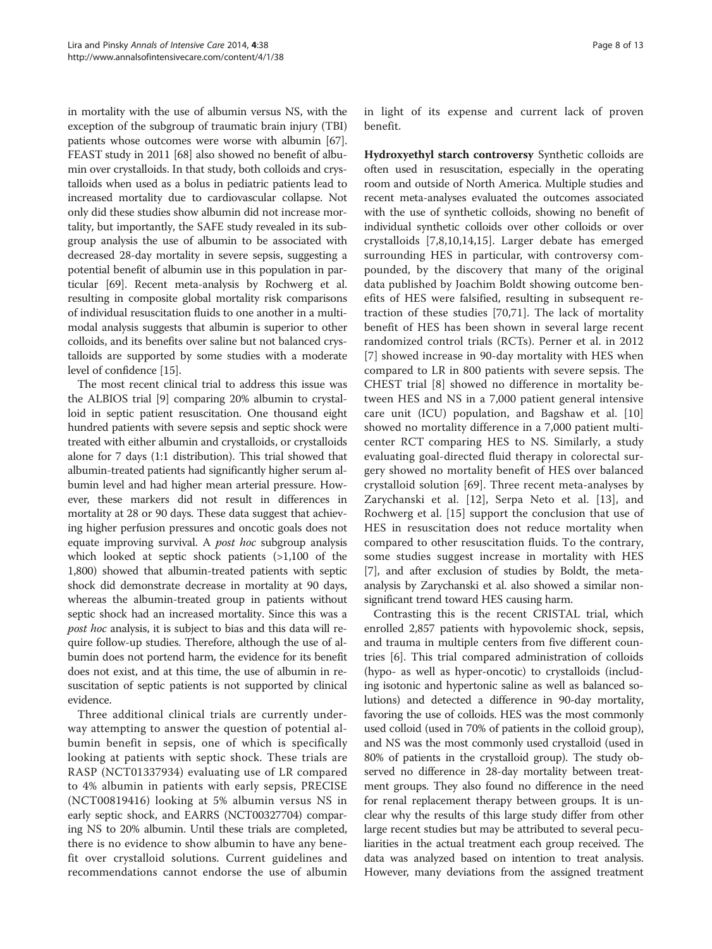in mortality with the use of albumin versus NS, with the exception of the subgroup of traumatic brain injury (TBI) patients whose outcomes were worse with albumin [[67](#page-12-0)]. FEAST study in 2011 [\[68](#page-12-0)] also showed no benefit of albumin over crystalloids. In that study, both colloids and crystalloids when used as a bolus in pediatric patients lead to increased mortality due to cardiovascular collapse. Not only did these studies show albumin did not increase mortality, but importantly, the SAFE study revealed in its subgroup analysis the use of albumin to be associated with decreased 28-day mortality in severe sepsis, suggesting a potential benefit of albumin use in this population in particular [[69](#page-12-0)]. Recent meta-analysis by Rochwerg et al. resulting in composite global mortality risk comparisons of individual resuscitation fluids to one another in a multimodal analysis suggests that albumin is superior to other colloids, and its benefits over saline but not balanced crystalloids are supported by some studies with a moderate level of confidence [[15](#page-11-0)].

The most recent clinical trial to address this issue was the ALBIOS trial [[9](#page-10-0)] comparing 20% albumin to crystalloid in septic patient resuscitation. One thousand eight hundred patients with severe sepsis and septic shock were treated with either albumin and crystalloids, or crystalloids alone for 7 days (1:1 distribution). This trial showed that albumin-treated patients had significantly higher serum albumin level and had higher mean arterial pressure. However, these markers did not result in differences in mortality at 28 or 90 days. These data suggest that achieving higher perfusion pressures and oncotic goals does not equate improving survival. A post hoc subgroup analysis which looked at septic shock patients (>1,100 of the 1,800) showed that albumin-treated patients with septic shock did demonstrate decrease in mortality at 90 days, whereas the albumin-treated group in patients without septic shock had an increased mortality. Since this was a post hoc analysis, it is subject to bias and this data will require follow-up studies. Therefore, although the use of albumin does not portend harm, the evidence for its benefit does not exist, and at this time, the use of albumin in resuscitation of septic patients is not supported by clinical evidence.

Three additional clinical trials are currently underway attempting to answer the question of potential albumin benefit in sepsis, one of which is specifically looking at patients with septic shock. These trials are RASP (NCT01337934) evaluating use of LR compared to 4% albumin in patients with early sepsis, PRECISE (NCT00819416) looking at 5% albumin versus NS in early septic shock, and EARRS (NCT00327704) comparing NS to 20% albumin. Until these trials are completed, there is no evidence to show albumin to have any benefit over crystalloid solutions. Current guidelines and recommendations cannot endorse the use of albumin in light of its expense and current lack of proven benefit.

Hydroxyethyl starch controversy Synthetic colloids are often used in resuscitation, especially in the operating room and outside of North America. Multiple studies and recent meta-analyses evaluated the outcomes associated with the use of synthetic colloids, showing no benefit of individual synthetic colloids over other colloids or over crystalloids [[7,8,10](#page-10-0),[14,15\]](#page-11-0). Larger debate has emerged surrounding HES in particular, with controversy compounded, by the discovery that many of the original data published by Joachim Boldt showing outcome benefits of HES were falsified, resulting in subsequent retraction of these studies [\[70](#page-12-0),[71\]](#page-12-0). The lack of mortality benefit of HES has been shown in several large recent randomized control trials (RCTs). Perner et al. in 2012 [[7\]](#page-10-0) showed increase in 90-day mortality with HES when compared to LR in 800 patients with severe sepsis. The CHEST trial [\[8](#page-10-0)] showed no difference in mortality between HES and NS in a 7,000 patient general intensive care unit (ICU) population, and Bagshaw et al. [\[10](#page-10-0)] showed no mortality difference in a 7,000 patient multicenter RCT comparing HES to NS. Similarly, a study evaluating goal-directed fluid therapy in colorectal surgery showed no mortality benefit of HES over balanced crystalloid solution [\[69](#page-12-0)]. Three recent meta-analyses by Zarychanski et al. [\[12](#page-11-0)], Serpa Neto et al. [[13](#page-11-0)], and Rochwerg et al. [\[15](#page-11-0)] support the conclusion that use of HES in resuscitation does not reduce mortality when compared to other resuscitation fluids. To the contrary, some studies suggest increase in mortality with HES [[7\]](#page-10-0), and after exclusion of studies by Boldt, the metaanalysis by Zarychanski et al. also showed a similar nonsignificant trend toward HES causing harm.

Contrasting this is the recent CRISTAL trial, which enrolled 2,857 patients with hypovolemic shock, sepsis, and trauma in multiple centers from five different countries [[6\]](#page-10-0). This trial compared administration of colloids (hypo- as well as hyper-oncotic) to crystalloids (including isotonic and hypertonic saline as well as balanced solutions) and detected a difference in 90-day mortality, favoring the use of colloids. HES was the most commonly used colloid (used in 70% of patients in the colloid group), and NS was the most commonly used crystalloid (used in 80% of patients in the crystalloid group). The study observed no difference in 28-day mortality between treatment groups. They also found no difference in the need for renal replacement therapy between groups. It is unclear why the results of this large study differ from other large recent studies but may be attributed to several peculiarities in the actual treatment each group received. The data was analyzed based on intention to treat analysis. However, many deviations from the assigned treatment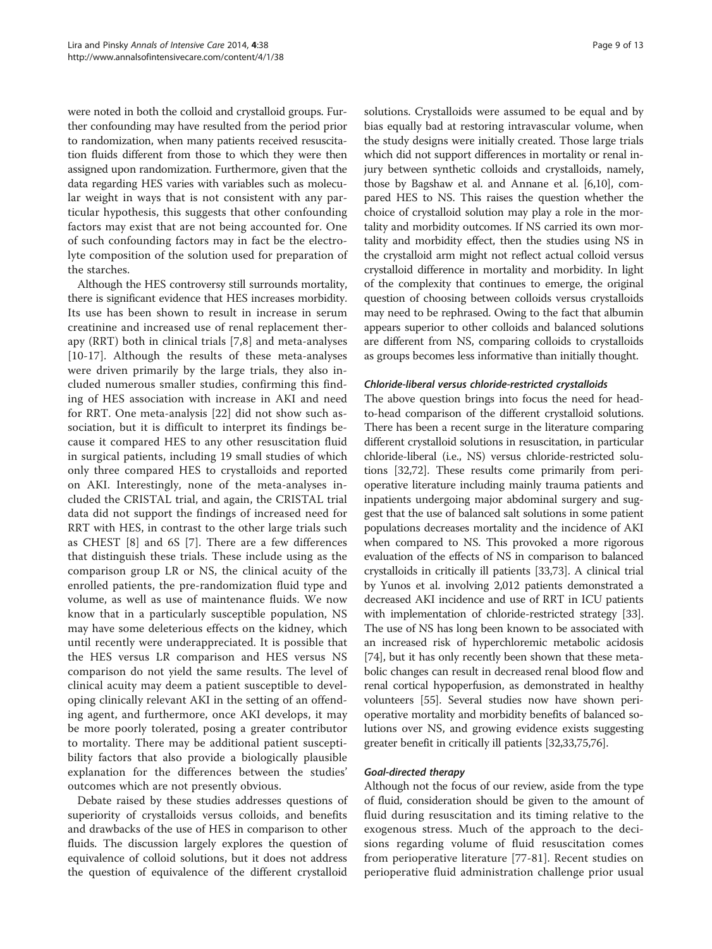were noted in both the colloid and crystalloid groups. Further confounding may have resulted from the period prior to randomization, when many patients received resuscitation fluids different from those to which they were then assigned upon randomization. Furthermore, given that the data regarding HES varies with variables such as molecular weight in ways that is not consistent with any particular hypothesis, this suggests that other confounding factors may exist that are not being accounted for. One of such confounding factors may in fact be the electrolyte composition of the solution used for preparation of the starches.

Although the HES controversy still surrounds mortality, there is significant evidence that HES increases morbidity. Its use has been shown to result in increase in serum creatinine and increased use of renal replacement therapy (RRT) both in clinical trials [[7,8\]](#page-10-0) and meta-analyses [[10-](#page-10-0)[17\]](#page-11-0). Although the results of these meta-analyses were driven primarily by the large trials, they also included numerous smaller studies, confirming this finding of HES association with increase in AKI and need for RRT. One meta-analysis [\[22](#page-11-0)] did not show such association, but it is difficult to interpret its findings because it compared HES to any other resuscitation fluid in surgical patients, including 19 small studies of which only three compared HES to crystalloids and reported on AKI. Interestingly, none of the meta-analyses included the CRISTAL trial, and again, the CRISTAL trial data did not support the findings of increased need for RRT with HES, in contrast to the other large trials such as CHEST [[8\]](#page-10-0) and 6S [[7\]](#page-10-0). There are a few differences that distinguish these trials. These include using as the comparison group LR or NS, the clinical acuity of the enrolled patients, the pre-randomization fluid type and volume, as well as use of maintenance fluids. We now know that in a particularly susceptible population, NS may have some deleterious effects on the kidney, which until recently were underappreciated. It is possible that the HES versus LR comparison and HES versus NS comparison do not yield the same results. The level of clinical acuity may deem a patient susceptible to developing clinically relevant AKI in the setting of an offending agent, and furthermore, once AKI develops, it may be more poorly tolerated, posing a greater contributor to mortality. There may be additional patient susceptibility factors that also provide a biologically plausible explanation for the differences between the studies' outcomes which are not presently obvious.

Debate raised by these studies addresses questions of superiority of crystalloids versus colloids, and benefits and drawbacks of the use of HES in comparison to other fluids. The discussion largely explores the question of equivalence of colloid solutions, but it does not address the question of equivalence of the different crystalloid

solutions. Crystalloids were assumed to be equal and by bias equally bad at restoring intravascular volume, when the study designs were initially created. Those large trials which did not support differences in mortality or renal injury between synthetic colloids and crystalloids, namely, those by Bagshaw et al. and Annane et al. [[6,10](#page-10-0)], compared HES to NS. This raises the question whether the choice of crystalloid solution may play a role in the mortality and morbidity outcomes. If NS carried its own mortality and morbidity effect, then the studies using NS in the crystalloid arm might not reflect actual colloid versus crystalloid difference in mortality and morbidity. In light of the complexity that continues to emerge, the original question of choosing between colloids versus crystalloids may need to be rephrased. Owing to the fact that albumin appears superior to other colloids and balanced solutions are different from NS, comparing colloids to crystalloids as groups becomes less informative than initially thought.

#### Chloride-liberal versus chloride-restricted crystalloids

The above question brings into focus the need for headto-head comparison of the different crystalloid solutions. There has been a recent surge in the literature comparing different crystalloid solutions in resuscitation, in particular chloride-liberal (i.e., NS) versus chloride-restricted solutions [[32](#page-11-0),[72](#page-12-0)]. These results come primarily from perioperative literature including mainly trauma patients and inpatients undergoing major abdominal surgery and suggest that the use of balanced salt solutions in some patient populations decreases mortality and the incidence of AKI when compared to NS. This provoked a more rigorous evaluation of the effects of NS in comparison to balanced crystalloids in critically ill patients [[33](#page-11-0)[,73\]](#page-12-0). A clinical trial by Yunos et al. involving 2,012 patients demonstrated a decreased AKI incidence and use of RRT in ICU patients with implementation of chloride-restricted strategy [[33](#page-11-0)]. The use of NS has long been known to be associated with an increased risk of hyperchloremic metabolic acidosis [[74](#page-12-0)], but it has only recently been shown that these metabolic changes can result in decreased renal blood flow and renal cortical hypoperfusion, as demonstrated in healthy volunteers [[55](#page-11-0)]. Several studies now have shown perioperative mortality and morbidity benefits of balanced solutions over NS, and growing evidence exists suggesting greater benefit in critically ill patients [\[32,33,](#page-11-0)[75,76\]](#page-12-0).

# Goal-directed therapy

Although not the focus of our review, aside from the type of fluid, consideration should be given to the amount of fluid during resuscitation and its timing relative to the exogenous stress. Much of the approach to the decisions regarding volume of fluid resuscitation comes from perioperative literature [\[77](#page-12-0)-[81\]](#page-12-0). Recent studies on perioperative fluid administration challenge prior usual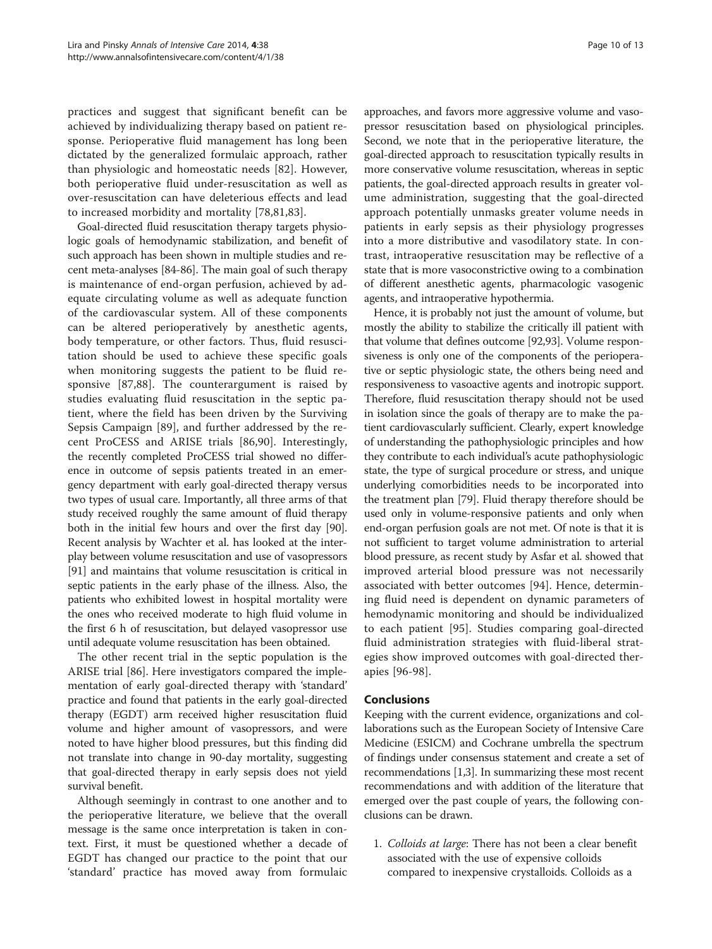practices and suggest that significant benefit can be achieved by individualizing therapy based on patient response. Perioperative fluid management has long been dictated by the generalized formulaic approach, rather than physiologic and homeostatic needs [[82\]](#page-12-0). However, both perioperative fluid under-resuscitation as well as over-resuscitation can have deleterious effects and lead to increased morbidity and mortality [\[78](#page-12-0),[81,83\]](#page-12-0).

Goal-directed fluid resuscitation therapy targets physiologic goals of hemodynamic stabilization, and benefit of such approach has been shown in multiple studies and recent meta-analyses [[84-86\]](#page-12-0). The main goal of such therapy is maintenance of end-organ perfusion, achieved by adequate circulating volume as well as adequate function of the cardiovascular system. All of these components can be altered perioperatively by anesthetic agents, body temperature, or other factors. Thus, fluid resuscitation should be used to achieve these specific goals when monitoring suggests the patient to be fluid responsive [[87,88](#page-12-0)]. The counterargument is raised by studies evaluating fluid resuscitation in the septic patient, where the field has been driven by the Surviving Sepsis Campaign [\[89](#page-12-0)], and further addressed by the recent ProCESS and ARISE trials [[86,90\]](#page-12-0). Interestingly, the recently completed ProCESS trial showed no difference in outcome of sepsis patients treated in an emergency department with early goal-directed therapy versus two types of usual care. Importantly, all three arms of that study received roughly the same amount of fluid therapy both in the initial few hours and over the first day [[90](#page-12-0)]. Recent analysis by Wachter et al. has looked at the interplay between volume resuscitation and use of vasopressors [[91](#page-12-0)] and maintains that volume resuscitation is critical in septic patients in the early phase of the illness. Also, the patients who exhibited lowest in hospital mortality were the ones who received moderate to high fluid volume in the first 6 h of resuscitation, but delayed vasopressor use until adequate volume resuscitation has been obtained.

The other recent trial in the septic population is the ARISE trial [\[86\]](#page-12-0). Here investigators compared the implementation of early goal-directed therapy with 'standard' practice and found that patients in the early goal-directed therapy (EGDT) arm received higher resuscitation fluid volume and higher amount of vasopressors, and were noted to have higher blood pressures, but this finding did not translate into change in 90-day mortality, suggesting that goal-directed therapy in early sepsis does not yield survival benefit.

Although seemingly in contrast to one another and to the perioperative literature, we believe that the overall message is the same once interpretation is taken in context. First, it must be questioned whether a decade of EGDT has changed our practice to the point that our 'standard' practice has moved away from formulaic

approaches, and favors more aggressive volume and vasopressor resuscitation based on physiological principles. Second, we note that in the perioperative literature, the goal-directed approach to resuscitation typically results in more conservative volume resuscitation, whereas in septic patients, the goal-directed approach results in greater volume administration, suggesting that the goal-directed approach potentially unmasks greater volume needs in patients in early sepsis as their physiology progresses into a more distributive and vasodilatory state. In contrast, intraoperative resuscitation may be reflective of a state that is more vasoconstrictive owing to a combination of different anesthetic agents, pharmacologic vasogenic agents, and intraoperative hypothermia.

Hence, it is probably not just the amount of volume, but mostly the ability to stabilize the critically ill patient with that volume that defines outcome [[92,93\]](#page-12-0). Volume responsiveness is only one of the components of the perioperative or septic physiologic state, the others being need and responsiveness to vasoactive agents and inotropic support. Therefore, fluid resuscitation therapy should not be used in isolation since the goals of therapy are to make the patient cardiovascularly sufficient. Clearly, expert knowledge of understanding the pathophysiologic principles and how they contribute to each individual's acute pathophysiologic state, the type of surgical procedure or stress, and unique underlying comorbidities needs to be incorporated into the treatment plan [[79\]](#page-12-0). Fluid therapy therefore should be used only in volume-responsive patients and only when end-organ perfusion goals are not met. Of note is that it is not sufficient to target volume administration to arterial blood pressure, as recent study by Asfar et al. showed that improved arterial blood pressure was not necessarily associated with better outcomes [\[94](#page-12-0)]. Hence, determining fluid need is dependent on dynamic parameters of hemodynamic monitoring and should be individualized to each patient [\[95](#page-12-0)]. Studies comparing goal-directed fluid administration strategies with fluid-liberal strategies show improved outcomes with goal-directed therapies [[96-98](#page-12-0)].

# Conclusions

Keeping with the current evidence, organizations and collaborations such as the European Society of Intensive Care Medicine (ESICM) and Cochrane umbrella the spectrum of findings under consensus statement and create a set of recommendations [[1,3](#page-10-0)]. In summarizing these most recent recommendations and with addition of the literature that emerged over the past couple of years, the following conclusions can be drawn.

1. Colloids at large: There has not been a clear benefit associated with the use of expensive colloids compared to inexpensive crystalloids. Colloids as a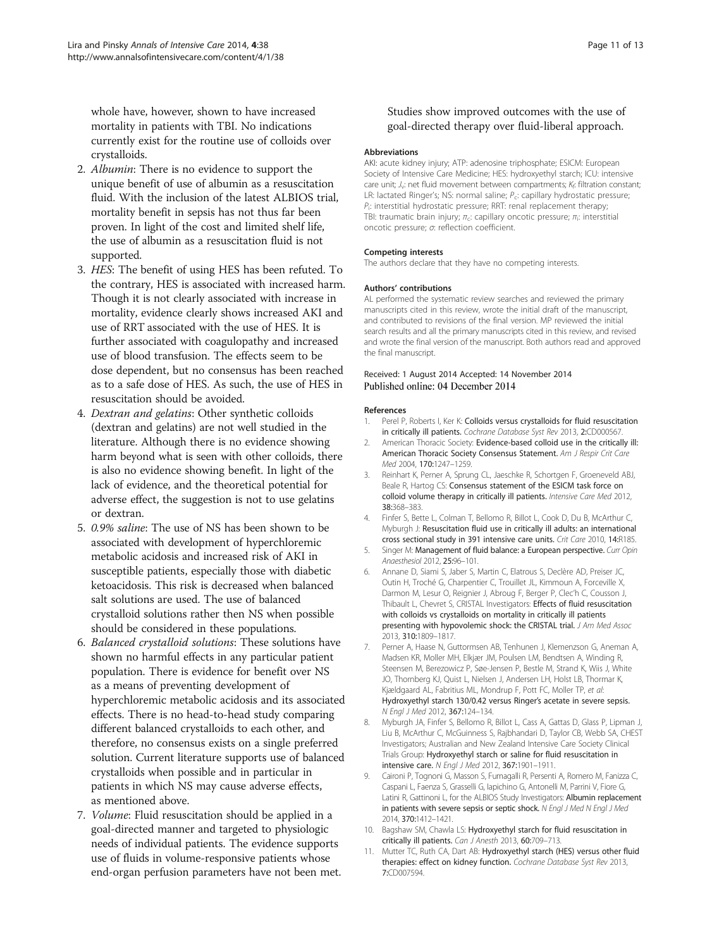<span id="page-10-0"></span>whole have, however, shown to have increased mortality in patients with TBI. No indications currently exist for the routine use of colloids over crystalloids.

- 2. Albumin: There is no evidence to support the unique benefit of use of albumin as a resuscitation fluid. With the inclusion of the latest ALBIOS trial, mortality benefit in sepsis has not thus far been proven. In light of the cost and limited shelf life, the use of albumin as a resuscitation fluid is not supported.
- 3. HES: The benefit of using HES has been refuted. To the contrary, HES is associated with increased harm. Though it is not clearly associated with increase in mortality, evidence clearly shows increased AKI and use of RRT associated with the use of HES. It is further associated with coagulopathy and increased use of blood transfusion. The effects seem to be dose dependent, but no consensus has been reached as to a safe dose of HES. As such, the use of HES in resuscitation should be avoided.
- 4. Dextran and gelatins: Other synthetic colloids (dextran and gelatins) are not well studied in the literature. Although there is no evidence showing harm beyond what is seen with other colloids, there is also no evidence showing benefit. In light of the lack of evidence, and the theoretical potential for adverse effect, the suggestion is not to use gelatins or dextran.
- 5. 0.9% saline: The use of NS has been shown to be associated with development of hyperchloremic metabolic acidosis and increased risk of AKI in susceptible patients, especially those with diabetic ketoacidosis. This risk is decreased when balanced salt solutions are used. The use of balanced crystalloid solutions rather then NS when possible should be considered in these populations.
- 6. Balanced crystalloid solutions: These solutions have shown no harmful effects in any particular patient population. There is evidence for benefit over NS as a means of preventing development of hyperchloremic metabolic acidosis and its associated effects. There is no head-to-head study comparing different balanced crystalloids to each other, and therefore, no consensus exists on a single preferred solution. Current literature supports use of balanced crystalloids when possible and in particular in patients in which NS may cause adverse effects, as mentioned above.
- 7. Volume: Fluid resuscitation should be applied in a goal-directed manner and targeted to physiologic needs of individual patients. The evidence supports use of fluids in volume-responsive patients whose end-organ perfusion parameters have not been met.

Studies show improved outcomes with the use of goal-directed therapy over fluid-liberal approach.

#### **Abbreviations**

AKI: acute kidney injury; ATP: adenosine triphosphate; ESICM: European Society of Intensive Care Medicine; HES: hydroxyethyl starch; ICU: intensive care unit;  $J_{\mathsf{v}}$ : net fluid movement between compartments;  $K_{\mathsf{f}}$ : filtration constant LR: lactated Ringer's; NS: normal saline;  $P_c$ : capillary hydrostatic pressure;  $P_i$ : interstitial hydrostatic pressure; RRT: renal replacement therapy; TBI: traumatic brain injury;  $\pi_c$ : capillary oncotic pressure;  $\pi_i$ : interstitial oncotic pressure; σ: reflection coefficient.

#### Competing interests

The authors declare that they have no competing interests.

#### Authors' contributions

AL performed the systematic review searches and reviewed the primary manuscripts cited in this review, wrote the initial draft of the manuscript, and contributed to revisions of the final version. MP reviewed the initial search results and all the primary manuscripts cited in this review, and revised and wrote the final version of the manuscript. Both authors read and approved the final manuscript.

#### Received: 1 August 2014 Accepted: 14 November 2014 Published online: 04 December 2014

#### References

- 1. Perel P, Roberts I, Ker K: Colloids versus crystalloids for fluid resuscitation in critically ill patients. Cochrane Database Syst Rev 2013, 2:CD000567
- American Thoracic Society: Evidence-based colloid use in the critically ill: American Thoracic Society Consensus Statement. Am J Respir Crit Care Med 2004, 170:1247–1259.
- 3. Reinhart K, Perner A, Sprung CL, Jaeschke R, Schortgen F, Groeneveld ABJ, Beale R, Hartog CS: Consensus statement of the ESICM task force on colloid volume therapy in critically ill patients. Intensive Care Med 2012, 38:368–383.
- 4. Finfer S, Bette L, Colman T, Bellomo R, Billot L, Cook D, Du B, McArthur C, Myburgh J: Resuscitation fluid use in critically ill adults: an international cross sectional study in 391 intensive care units. Crit Care 2010, 14:R185.
- 5. Singer M: Management of fluid balance: a European perspective. Curr Opin Anaesthesiol 2012, 25:96–101.
- 6. Annane D, Siami S, Jaber S, Martin C, Elatrous S, Declère AD, Preiser JC, Outin H, Troché G, Charpentier C, Trouillet JL, Kimmoun A, Forceville X, Darmon M, Lesur O, Reignier J, Abroug F, Berger P, Clec'h C, Cousson J, Thibault L, Chevret S, CRISTAL Investigators: Effects of fluid resuscitation with colloids vs crystalloids on mortality in critically ill patients presenting with hypovolemic shock: the CRISTAL trial. J Am Med Assoc 2013, 310:1809–1817.
- 7. Perner A, Haase N, Guttormsen AB, Tenhunen J, Klemenzson G, Aneman A, Madsen KR, Moller MH, Elkjær JM, Poulsen LM, Bendtsen A, Winding R, Steensen M, Berezowicz P, Søe-Jensen P, Bestle M, Strand K, Wiis J, White JO, Thornberg KJ, Quist L, Nielsen J, Andersen LH, Holst LB, Thormar K, Kjældgaard AL, Fabritius ML, Mondrup F, Pott FC, Moller TP, et al: Hydroxyethyl starch 130/0.42 versus Ringer's acetate in severe sepsis. N Engl J Med 2012, 367:124–134.
- 8. Myburgh JA, Finfer S, Bellomo R, Billot L, Cass A, Gattas D, Glass P, Lipman J, Liu B, McArthur C, McGuinness S, Rajbhandari D, Taylor CB, Webb SA, CHEST Investigators; Australian and New Zealand Intensive Care Society Clinical Trials Group: Hydroxyethyl starch or saline for fluid resuscitation in intensive care. N Engl J Med 2012, 367:1901–1911.
- 9. Caironi P, Tognoni G, Masson S, Fumagalli R, Persenti A, Romero M, Fanizza C, Caspani L, Faenza S, Grasselli G, Iapichino G, Antonelli M, Parrini V, Fiore G, Latini R, Gattinoni L, for the ALBIOS Study Investigators: Albumin replacement in patients with severe sepsis or septic shock. N Engl J Med N Engl J Med 2014, 370:1412–1421.
- 10. Bagshaw SM, Chawla LS: Hydroxyethyl starch for fluid resuscitation in critically ill patients. Can J Anesth 2013, 60:709-713.
- 11. Mutter TC, Ruth CA, Dart AB: Hydroxyethyl starch (HES) versus other fluid therapies: effect on kidney function. Cochrane Database Syst Rev 2013, 7:CD007594.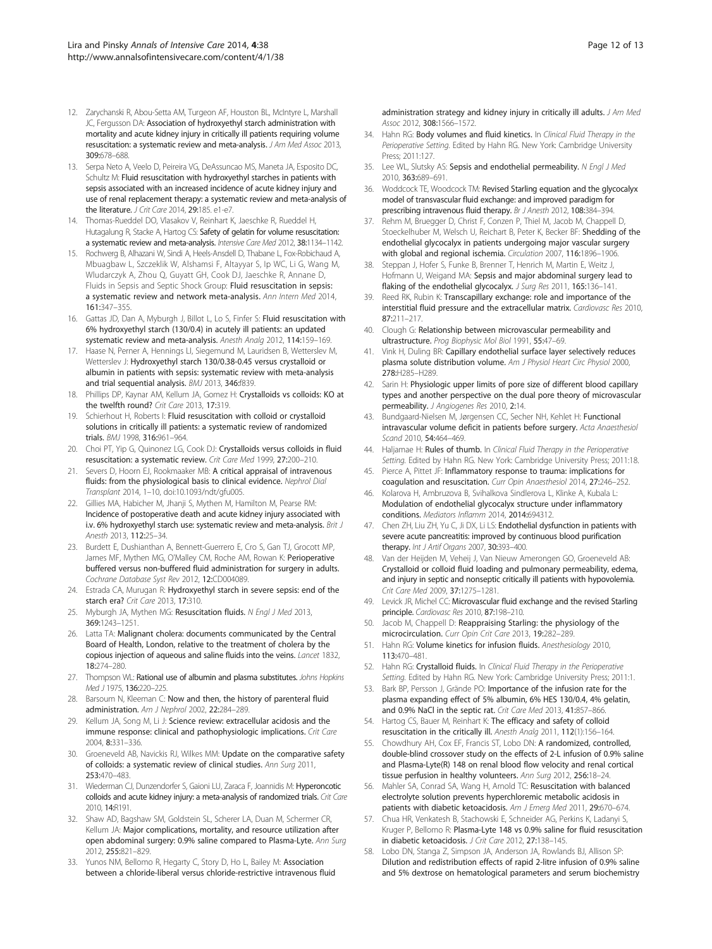- <span id="page-11-0"></span>12. Zarychanski R, Abou-Setta AM, Turgeon AF, Houston BL, McIntyre L, Marshall JC, Fergusson DA: Association of hydroxyethyl starch administration with mortality and acute kidney injury in critically ill patients requiring volume resuscitation: a systematic review and meta-analysis. J Am Med Assoc 2013, 309:678–688.
- 13. Serpa Neto A, Veelo D, Peireira VG, DeAssuncao MS, Maneta JA, Esposito DC, Schultz M: Fluid resuscitation with hydroxyethyl starches in patients with sepsis associated with an increased incidence of acute kidney injury and use of renal replacement therapy: a systematic review and meta-analysis of the literature. J Crit Care 2014, 29:185. e1-e7.
- 14. Thomas-Rueddel DO, Vlasakov V, Reinhart K, Jaeschke R, Rueddel H, Hutagalung R, Stacke A, Hartog CS: Safety of gelatin for volume resuscitation: a systematic review and meta-analysis. Intensive Care Med 2012, 38:1134–1142.
- 15. Rochwerg B, Alhazani W, Sindi A, Heels-Ansdell D, Thabane L, Fox-Robichaud A, Mbuagbaw L, Szczeklik W, Alshamsi F, Altayyar S, Ip WC, Li G, Wang M, Wludarczyk A, Zhou Q, Guyatt GH, Cook DJ, Jaeschke R, Annane D, Fluids in Sepsis and Septic Shock Group: Fluid resuscitation in sepsis: a systematic review and network meta-analysis. Ann Intern Med 2014, 161:347–355.
- 16. Gattas JD, Dan A, Myburgh J, Billot L, Lo S, Finfer S: Fluid resuscitation with 6% hydroxyethyl starch (130/0.4) in acutely ill patients: an updated systematic review and meta-analysis. Anesth Analg 2012, 114:159–169.
- 17. Haase N, Perner A, Hennings LI, Siegemund M, Lauridsen B, Wetterslev M, Wetterslev J: Hydroxyethyl starch 130/0.38-0.45 versus crystalloid or albumin in patients with sepsis: systematic review with meta-analysis and trial sequential analysis. BMJ 2013, 346:f839.
- 18. Phillips DP, Kaynar AM, Kellum JA, Gomez H: Crystalloids vs colloids: KO at the twelfth round? Crit Care 2013, 17:319.
- 19. Schierhout H, Roberts I: Fluid resuscitation with colloid or crystalloid solutions in critically ill patients: a systematic review of randomized trials. BMJ 1998, 316:961–964.
- 20. Choi PT, Yip G, Quinonez LG, Cook DJ: Crystalloids versus colloids in fluid resuscitation: a systematic review. Crit Care Med 1999, 27:200–210.
- 21. Severs D, Hoorn EJ, Rookmaaker MB: A critical appraisal of intravenous fluids: from the physiological basis to clinical evidence. Nephrol Dial Transplant 2014, 1–10, doi:10.1093/ndt/gfu005.
- 22. Gillies MA, Habicher M, Jhanji S, Mythen M, Hamilton M, Pearse RM: Incidence of postoperative death and acute kidney injury associated with i.v. 6% hydroxyethyl starch use: systematic review and meta-analysis. Brit J Anesth 2013, 112:25–34.
- 23. Burdett E, Dushianthan A, Bennett-Guerrero E, Cro S, Gan TJ, Grocott MP, James MF, Mythen MG, O'Malley CM, Roche AM, Rowan K: Perioperative buffered versus non-buffered fluid administration for surgery in adults. Cochrane Database Syst Rev 2012, 12:CD004089.
- 24. Estrada CA, Murugan R: Hydroxyethyl starch in severe sepsis: end of the starch era? Crit Care 2013, 17:310.
- 25. Myburgh JA, Mythen MG: Resuscitation fluids. N Engl J Med 2013, 369:1243–1251.
- 26. Latta TA: Malignant cholera: documents communicated by the Central Board of Health, London, relative to the treatment of cholera by the copious injection of aqueous and saline fluids into the veins. Lancet 1832, 18:274–280.
- 27. Thompson WL: Rational use of albumin and plasma substitutes. Johns Hopkins Med J 1975, 136:220-225.
- 28. Barsoum N, Kleeman C: Now and then, the history of parenteral fluid administration. Am J Nephrol 2002, 22:284–289.
- 29. Kellum JA, Song M, Li J: Science review: extracellular acidosis and the immune response: clinical and pathophysiologic implications. Crit Care 2004, 8:331–336.
- 30. Groeneveld AB, Navickis RJ, Wilkes MM: Update on the comparative safety of colloids: a systematic review of clinical studies. Ann Surg 2011, 253:470–483.
- 31. Wiederman CJ, Dunzendorfer S, Gaioni LU, Zaraca F, Joannidis M: Hyperoncotic colloids and acute kidney injury: a meta-analysis of randomized trials. Crit Care 2010, 14:R191.
- 32. Shaw AD, Bagshaw SM, Goldstein SL, Scherer LA, Duan M, Schermer CR, Kellum JA: Major complications, mortality, and resource utilization after open abdominal surgery: 0.9% saline compared to Plasma-Lyte. Ann Surg 2012, 255:821–829.
- 33. Yunos NM, Bellomo R, Hegarty C, Story D, Ho L, Bailey M: Association between a chloride-liberal versus chloride-restrictive intravenous fluid

administration strategy and kidney injury in critically ill adults. J Am Med Assoc 2012, 308:1566–1572.

- 34. Hahn RG: Body volumes and fluid kinetics. In Clinical Fluid Therapy in the Perioperative Setting. Edited by Hahn RG. New York: Cambridge University Press; 2011:127.
- 35. Lee WL, Slutsky AS: Sepsis and endothelial permeability. N Engl J Med 2010, 363:689–691.
- 36. Woddcock TE, Woodcock TM: Revised Starling equation and the glycocalyx model of transvascular fluid exchange: and improved paradigm for prescribing intravenous fluid therapy. Br J Anesth 2012, 108:384-394.
- 37. Rehm M, Bruegger D, Christ F, Conzen P, Thiel M, Jacob M, Chappell D, Stoeckelhuber M, Welsch U, Reichart B, Peter K, Becker BF: Shedding of the endothelial glycocalyx in patients undergoing major vascular surgery with global and regional ischemia. Circulation 2007, 116:1896-1906.
- 38. Steppan J, Hofer S, Funke B, Brenner T, Henrich M, Martin E, Weitz J, Hofmann U, Weigand MA: Sepsis and major abdominal surgery lead to flaking of the endothelial glycocalyx. J Surg Res 2011, 165:136-141.
- Reed RK, Rubin K: Transcapillary exchange: role and importance of the interstitial fluid pressure and the extracellular matrix. Cardiovasc Res 2010, 87:211–217.
- 40. Clough G: Relationship between microvascular permeability and ultrastructure. Prog Biophysic Mol Biol 1991, 55:47–69.
- 41. Vink H, Duling BR: Capillary endothelial surface layer selectively reduces plasma solute distribution volume. Am J Physiol Heart Circ Physiol 2000, 278:H285–H289.
- 42. Sarin H: Physiologic upper limits of pore size of different blood capillary types and another perspective on the dual pore theory of microvascular permeability. J Angiogenes Res 2010, 2:14.
- Bundgaard-Nielsen M, Jørgensen CC, Secher NH, Kehlet H: Functional intravascular volume deficit in patients before surgery. Acta Anaesthesiol Scand 2010, 54:464–469.
- 44. Haljamae H: Rules of thumb. In Clinical Fluid Therapy in the Perioperative Setting. Edited by Hahn RG. New York: Cambridge University Press; 2011:18.
- 45. Pierce A, Pittet JF: Inflammatory response to trauma: implications for coagulation and resuscitation. Curr Opin Anaesthesiol 2014, 27:246–252.
- 46. Kolarova H, Ambruzova B, Svihalkova Sindlerova L, Klinke A, Kubala L: Modulation of endothelial glycocalyx structure under inflammatory conditions. Mediators Inflamm 2014, 2014:694312.
- 47. Chen ZH, Liu ZH, Yu C, Ji DX, Li LS: Endothelial dysfunction in patients with severe acute pancreatitis: improved by continuous blood purification therapy. Int J Artif Organs 2007, 30:393–400.
- 48. Van der Heijden M, Veheij J, Van Nieuw Amerongen GO, Groeneveld AB: Crystalloid or colloid fluid loading and pulmonary permeability, edema, and injury in septic and nonseptic critically ill patients with hypovolemia. Crit Care Med 2009, 37:1275–1281.
- 49. Levick JR, Michel CC: Microvascular fluid exchange and the revised Starling principle. Cardiovasc Res 2010, 87:198–210.
- 50. Jacob M, Chappell D: Reappraising Starling: the physiology of the microcirculation. Curr Opin Crit Care 2013, 19:282–289.
- 51. Hahn RG: Volume kinetics for infusion fluids. Anesthesiology 2010, 113:470–481.
- 52. Hahn RG: Crystalloid fluids. In Clinical Fluid Therapy in the Perioperative Setting. Edited by Hahn RG. New York: Cambridge University Press; 2011:1.
- 53. Bark BP, Persson J, Grände PO: Importance of the infusion rate for the plasma expanding effect of 5% albumin, 6% HES 130/0.4, 4% gelatin, and 0.9% NaCl in the septic rat. Crit Care Med 2013, 41:857–866.
- 54. Hartog CS, Bauer M, Reinhart K: The efficacy and safety of colloid resuscitation in the critically ill. Anesth Analg 2011, 112(1):156–164.
- 55. Chowdhury AH, Cox EF, Francis ST, Lobo DN: A randomized, controlled, double-blind crossover study on the effects of 2-L infusion of 0.9% saline and Plasma-Lyte(R) 148 on renal blood flow velocity and renal cortical tissue perfusion in healthy volunteers. Ann Surg 2012, 256:18–24.
- 56. Mahler SA, Conrad SA, Wang H, Arnold TC: Resuscitation with balanced electrolyte solution prevents hyperchloremic metabolic acidosis in patients with diabetic ketoacidosis. Am J Emerg Med 2011, 29:670-674.
- 57. Chua HR, Venkatesh B, Stachowski E, Schneider AG, Perkins K, Ladanyi S, Kruger P, Bellomo R: Plasma-Lyte 148 vs 0.9% saline for fluid resuscitation in diabetic ketoacidosis. J Crit Care 2012, 27:138–145.
- 58. Lobo DN, Stanga Z, Simpson JA, Anderson JA, Rowlands BJ, Allison SP: Dilution and redistribution effects of rapid 2-litre infusion of 0.9% saline and 5% dextrose on hematological parameters and serum biochemistry